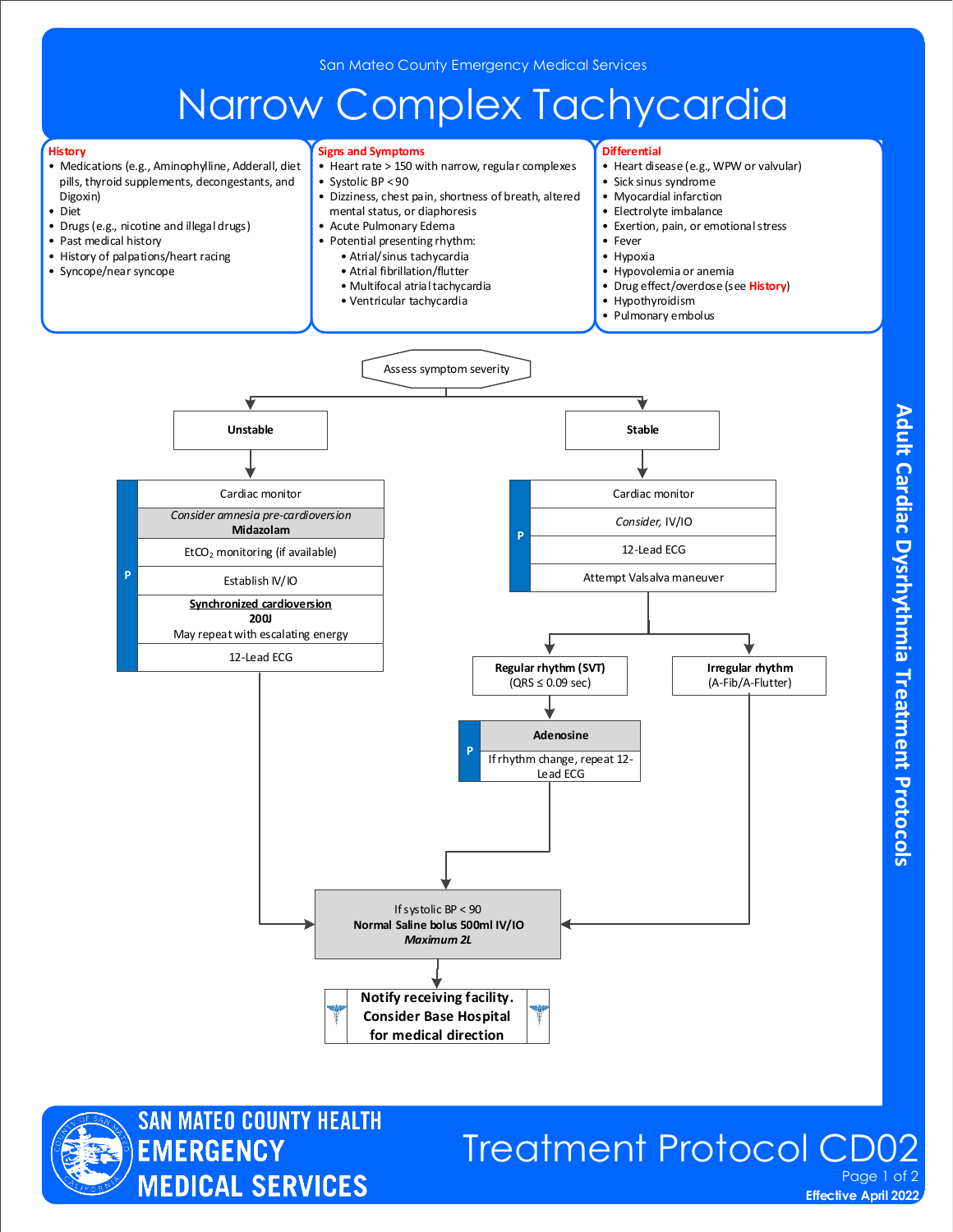## Narrow Complex Tachycardia

• Heart rate > 150 with narrow, regular complexes

• Dizziness, chest pain, shortness of breath, altered

**Signs and Symptoms**

 mental status, or diaphoresis • Acute Pulmonary Edema

• Systolic BP < 90

**Differential**

• Sick sinus syndrome • Myocardial infarction • Electrolyte imbalance

• Heart disease (e.g., WPW or valvular)

• Exertion, pain, or emotional stress

#### **History**

- Medications (e.g., Aminophylline, Adderall, diet pills, thyroid supplements, decongestants, and Digoxin)
- Diet
- Drugs (e.g., nicotine and illegal drugs)
- Past medical history
- History of palpations/heart racing
- Syncope/near syncope • Fever • Hypoxia • Hypovolemia or anemia • Drug effect/overdose (see **History**) • Hypothyroidism Pulmonary embolus • Potential presenting rhythm: • Atrial/sinus tachycardia • Atrial fibrillation/flutter • Multifocal atrial tachycardia • Ventricular tachycardia Assess symptom severity Cardiac monitor *Consider,* IV/IO **P** 12-Lead ECG **Regular rhythm (SVT)**  $(QRS \leq 0.09 \text{ sec})$ **Irregular rhythm** (A-Fib/A-Flutter) **P Adenosine**  Attempt Valsalva maneuver **Notify receiving facility. Consider Base Hospital for medical direction** Unstable and the stable stable stable and the stable stable stable stable stable If rhythm change, repeat 12- Lead ECG If systolic BP < 90 **Normal Saline bolus 500ml IV/IO** *Maximum 2L Consider amnesia pre-cardioversion* **Midazolam**  Cardiac monitor Establish IV/IO  $EtCO<sub>2</sub>$  monitoring (if available) **Synchronized cardioversion 200J**  May repeat with escalating energy 12-Lead ECG



### Treatment Protocol CD0 Page 1 of 2

**Effective April 2022** 

Adult Cardiac Dysrhythmia Treatment Protocols